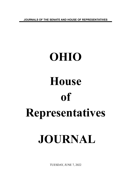**JOURNALS OF THE SENATE AND HOUSE OF REPRESENTATIVES**

# **OHIO House of Representatives JOURNAL**

TUESDAY, JUNE 7, 2022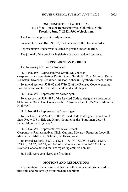# ONE HUNDRED SIXTY-FIFTH DAY Hall of the House of Representatives, Columbus, Ohio **Tuesday, June 7, 2022, 9:00 o'clock a.m.**

The House met pursuant to adjournment.

Pursuant to House Rule No. 23, the Clerk called the House to order.

Representative Fraizer was selected to preside under the Rule.

The journal of the previous legislative day was read and approved.

# **INTRODUCTION OF BILLS**

The following bills were introduced:

**H. B. No. 695 -** Representatives Smith, M., Johnson.

Cosponsors: Representatives Davis, Boggs, Smith, K., Troy, Miranda, Kelly, Weinstein, Sweeney, Crossman, Denson, Sobecki, Lightbody, Creech, Vitale.

To amend sections 5739.02 and 5739.03 of the Revised Code to exempt from sales and use tax the sale of child and adult diapers.

**H. B. No. 696 -** Representative Swearingen.

To enact section 5534.495 of the Revised Code to designate a portion of State Route 269 in Erie County as the "Patrolman Paul L. McManis Memorial Highway."

**H. B. No. 697 -** Representative Swearingen.

To enact section 5534.496 of the Revised Code to designate a portion of State Route 113 in Erie and Huron Counties as the "Patrolman Leroy S. Bedell Memorial Highway."

**H. B. No. 698 -** Representatives Kick, Creech.

Cosponsors: Representatives Click, Cutrona, Edwards, Ferguson, Loychik, Manchester, Miller, K., Schmidt, Stoltzfus, West.

To amend sections 163.01, 163.021, 163.04, 163.09, 163.16, 163.19, 163.21, 163.52, 163.59, and 163.62 and to enact section 163.221 of the Revised Code to amend the law regarding eminent domain.

Said bills were considered the first time.

# **MOTIONS AND RESOLUTIONS**

Representative Stevens moved that the following resolutions be read by title only and brought up for immediate adoption: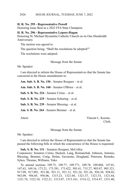#### HOUSE JOURNAL, TUESDAY, JUNE 7, 2022 2926

### **H. R. No. 295 - Representative Powell**

Honoring Isaac Beal as a 2022 FFA State Champion.

#### **H. R. No. 296 - Representative Lepore-Hagan**

Honoring St. Michael Byzantine Catholic Church on its One Hundredth Anniversary.

The motion was agreed to.

The question being, "Shall the resolutions be adopted?"

The resolutions were adopted.

Message from the Senate

Mr. Speaker:

I am directed to inform the House of Representatives that the Senate has concurred in the House amendments to:

**Am. Sub. S. B. No. 156** - Senator Roegner – et al.

**Am. Sub. S. B. No. 160** - Senator O'Brien – et al.

**Sub. S. B. No. 224** - Senator Cirino – et al.

**Sub. S. B. No. 225** - Senator Schuring – et al.

**Sub. S. B. No. 239** - Senator Blessing – et al.

**Am. S. B. No. 264** - Senator Brenner – et al.

Attest: Vincent L. Keeran, Clerk.

Message from the Senate

Mr. Speaker:

I am directed to inform the House of Representatives that the Senate has passed the following bills in which the concurrence of the House is requested:

**Sub. S. B. No. 131** - Senators Roegner, McColley Cosponsors: Senators Cirino, Hackett, Lang, Romanchuk, Johnson, Antonio, Blessing, Brenner, Craig, Dolan, Gavarone, Hoagland, Peterson, Reineke, Sykes, Thomas, Williams, Yuko

To amend sections 109.73, 109.77, 109.771, 109.78, 109.804, 147.01, 147.63, 169.16, 173.21, 173.391, 173.422, 503.41, 715.27, 903.07, 905.321, 917.09, 917.091, 921.06, 921.11, 921.12, 921.24, 921.26, 926.30, 928.02, 943.09, 956.05, 956.06, 1315.23, 1321.04, 1321.37, 1321.53, 1321.64, 1321.74, 1322.10, 1322.21, 1513.07, 1513.161, 1514.12, 1514.47, 1531.40,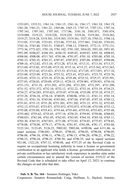1533.051, 1533.51, 1561.14, 1561.15, 1561.16, 1561.17, 1561.18, 1561.19, 1561.20, 1561.21, 1561.22, 1565.06, 1565.15, 1707.15, 1707.151, 1707.16, 1707.161, 1707.163, 1707.165, 1717.06, 3101.10, 3301.071, 3301.074, 3319.088, 3319.22, 3319.226, 3319.229, 3319.26, 3319.261, 3319.262, 3319.27, 3319.28, 3319.301, 3319.303, 3319.361, 3327.10, 3703.21, 3704.14, 3713.05, 3717.09, 3723.03, 3723.06, 3737.83, 3737.881, 3742.05, 3743.03, 3743.16, 3743.40, 3743.51, 3748.07, 3748.12, 3769.03, 3772.13, 3772.131, 3773.36, 3773.421, 3781.10, 3781.102, 3781.105, 3916.03, 3951.03, 3951.05, 3951.09, 4104.07, 4104.101, 4104.19, 4105.02, 4169.03, 4301.10, 4508.03, 4508.04, 4508.08, 4511.763, 4701.06, 4701.07, 4701.10, 4703.08, 4703.10, 4703.33, 4703.35, 4703.37, 4707.07, 4707.072, 4707.09, 4709.07, 4709.08, 4709.10, 4712.02, 4713.10, 4713.28, 4713.30, 4713.31, 4713.34, 4713.37, 4713.69, 4715.03, 4715.09, 4715.10, 4715.16, 4715.27, 4715.362, 4715.363, 4715.39, 4715.42, 4715.421, 4715.53, 4715.62, 4717.05, 4717.051, 4717.10, 4723.08, 4723.09, 4723.26, 4723.32, 4723.41, 4723.651, 4723.75, 4723.76, 4723.85, 4725.13, 4725.18, 4725.26, 4725.48, 4725.52, 4725.57, 4725.591, 4727.03, 4728.03, 4729.09, 4729.11, 4729.15, 4729.901, 4729.921, 4730.10, 4731.151, 4731.19, 4731.293, 4731.294, 4731.295, 4731.297, 4731.299, 4731.52, 4731.572, 4732.10, 4732.12, 4732.22, 4733.18, 4733.19, 4734.23, 4734.27, 4734.283, 4735.023, 4735.07, 4735.08, 4735.09, 4735.10, 4735.27, 4735.28, 4736.10, 4736.14, 4740.05, 4740.06, 4741.12, 4741.13, 4741.14, 4741.15, 4741.19, 4743.04, 4743.041, 4747.04, 4747.05, 4747.10, 4749.12, 4751.01, 4751.15, 4751.20, 4751.201, 4751.202, 4751.21, 4751.32, 4752.05, 4752.12, 4753.07, 4753.071, 4753.072, 4753.073, 4753.08, 4753.09, 4753.12, 4755.08, 4755.09, 4755.411, 4755.44, 4755.441, 4755.45, 4755.451, 4755.48, 4755.482, 4755.62, 4755.65, 4757.18, 4758.25, 4759.05, 4759.06, 4760.03, 4760.031, 4761.04, 4761.05, 4762.03, 4763.05, 4764.10, 4765.10, 4765.11, 4765.30, 4765.55, 4767.031, 4771.08, 4773.03, 4774.03, 4775.07, 4778.03, 4778.08, 4778.09, 4779.17, 4779.18, 4781.07, 4781.08, 4781.17, 4783.04, 5123.161, 5123.45, 5126.25, 5902.02, 5903.04, 6109.04, and 6111.46; to enact sections 3746.041, 4796.01, 4796.02, 4796.03, 4796.04, 4796.05, 4796.08, 4796.10, 4796.11, 4796.12, 4796.13, 4796.20, 4796.21, 4796.22, 4796.23, 4796.24, 4796.25, 4796.30, and 4796.35; and to repeal sections 921.08, 1322.24, 4707.12, 4740.08, and 4757.25 of the Revised Code to require an occupational licensing authority to issue a license or government certification to an applicant who holds a license, government certification, or private certification or has satisfactory work experience in another state under certain circumstances and to amend the version of section 3319.22 of the Revised Code that is scheduled to take effect on April 12, 2023, to continue the changes on and after that date.

**Sub. S. B. No. 164** - Senators Hottinger, Yuko Cosponsors: Senators Romanchuk, Craig, Huffman, S., Hackett, Antonio,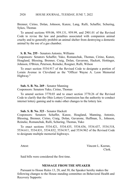Brenner, Cirino, Dolan, Johnson, Kunze, Lang, Rulli, Schaffer, Schuring, Sykes, Thomas

To amend sections 959.06, 959.131, 959.99, and 2901.01 of the Revised Code to revise the law and penalties associated with companion animal cruelty and to generally prohibit an animal shelter from destroying a domestic animal by the use of a gas chamber.

#### **S. B. No. 255** - Senators Antonio, Williams

Cosponsors: Senators Schaffer, Yuko, Romanchuk, Thomas, Cirino, Kunze, Hoagland, Blessing, Brenner, Craig, Dolan, Gavarone, Hackett, Hottinger, Johnson, O'Brien, Peterson, Reineke, Roegner, Rulli, Wilson

To enact section 5534.917 of the Revised Code to designate a portion of Lorain Avenue in Cleveland as the "Officer Wayne A. Leon Memorial Highway."

# **Sub. S. B. No. 269** - Senator Manning

Cosponsors: Senators Yuko, Cirino, Thomas

To amend section 3770.03 and to enact section 3770.26 of the Revised Code to clarify that the Ohio Lottery Commission has the authority to conduct internet lottery gaming and to make other changes to the lottery law.

## **Sub. S. B. No. 323** - Senator Hackett

Cosponsors: Senators Schaffer, Kunze, Hoagland, Manning, Antonio, Blessing, Brenner, Cirino, Craig, Dolan, Gavarone, Huffman, S., Johnson, Reineke, Romanchuk, Rulli, Schuring, Thomas, Yuko

To enact sections 5534.421, 5534.435, 5534.436, 5534.437, 5534.518, 5534.611, 5534.831, 5534.832, 5534.917, and 5534.962 of the Revised Code to designate multiple memorial highways.

Attest: Vincent L. Keeran, Clerk.

Said bills were considered the first time.

# **MESSAGE FROM THE SPEAKER**

Pursuant to House Rules 13, 28, and 30, the Speaker hereby makes the following changes to the House standing committee on Behavioral Health and Recovery Supports: